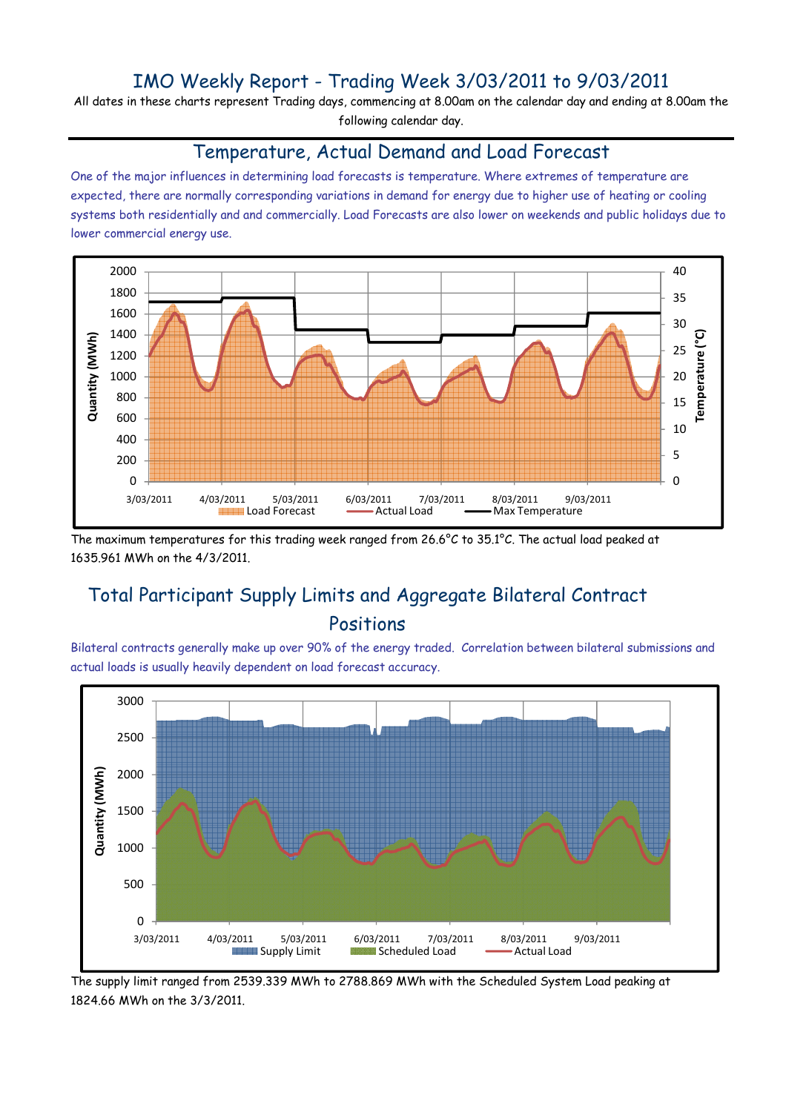## IMO Weekly Report - Trading Week 3/03/2011 to 9/03/2011

All dates in these charts represent Trading days, commencing at 8.00am on the calendar day and ending at 8.00am the following calendar day.

#### Temperature, Actual Demand and Load Forecast

One of the major influences in determining load forecasts is temperature. Where extremes of temperature are expected, there are normally corresponding variations in demand for energy due to higher use of heating or cooling systems both residentially and and commercially. Load Forecasts are also lower on weekends and public holidays due to lower commercial energy use.



The maximum temperatures for this trading week ranged from 26.6°C to 35.1°C. The actual load peaked at 1635.961 MWh on the 4/3/2011.

# Total Participant Supply Limits and Aggregate Bilateral Contract Positions

Bilateral contracts generally make up over 90% of the energy traded. Correlation between bilateral submissions and actual loads is usually heavily dependent on load forecast accuracy.



The supply limit ranged from 2539.339 MWh to 2788.869 MWh with the Scheduled System Load peaking at 1824.66 MWh on the 3/3/2011.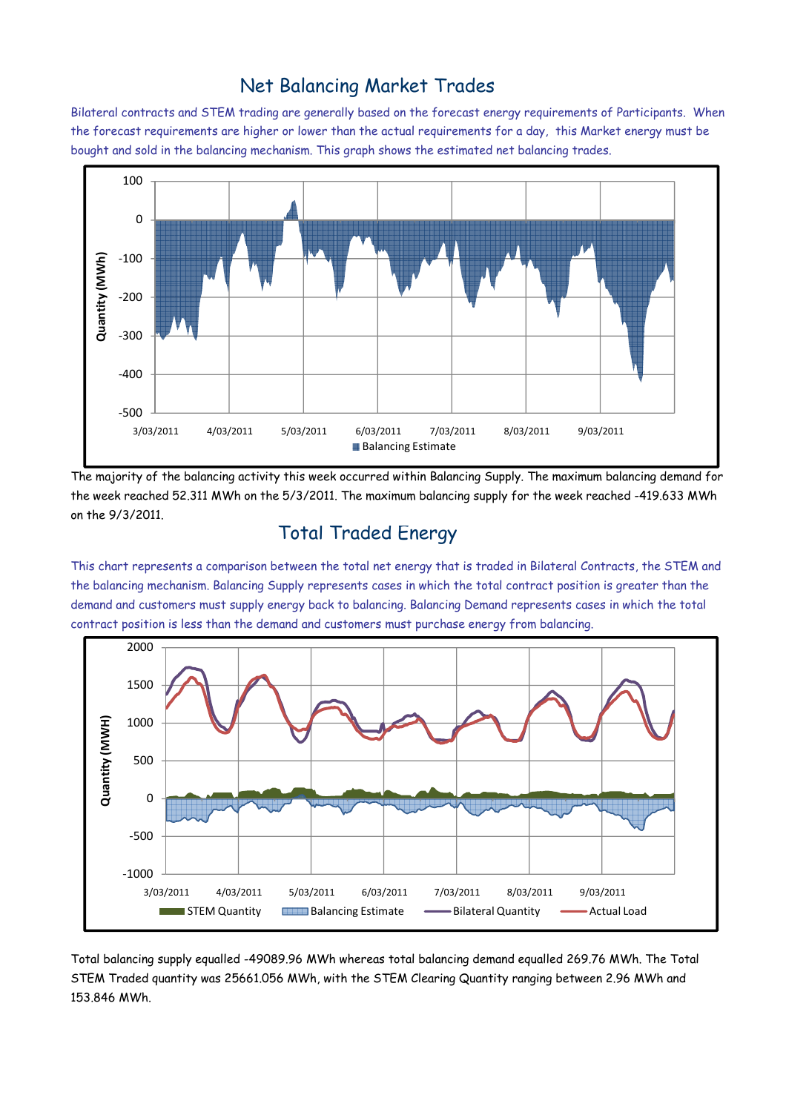### Net Balancing Market Trades

Bilateral contracts and STEM trading are generally based on the forecast energy requirements of Participants. When the forecast requirements are higher or lower than the actual requirements for a day, this Market energy must be bought and sold in the balancing mechanism. This graph shows the estimated net balancing trades.



The majority of the balancing activity this week occurred within Balancing Supply. The maximum balancing demand for the week reached 52.311 MWh on the 5/3/2011. The maximum balancing supply for the week reached -419.633 MWh on the 9/3/2011.

### Total Traded Energy

This chart represents a comparison between the total net energy that is traded in Bilateral Contracts, the STEM and the balancing mechanism. Balancing Supply represents cases in which the total contract position is greater than the demand and customers must supply energy back to balancing. Balancing Demand represents cases in which the total contract position is less than the demand and customers must purchase energy from balancing.



Total balancing supply equalled -49089.96 MWh whereas total balancing demand equalled 269.76 MWh. The Total STEM Traded quantity was 25661.056 MWh, with the STEM Clearing Quantity ranging between 2.96 MWh and 153.846 MWh.